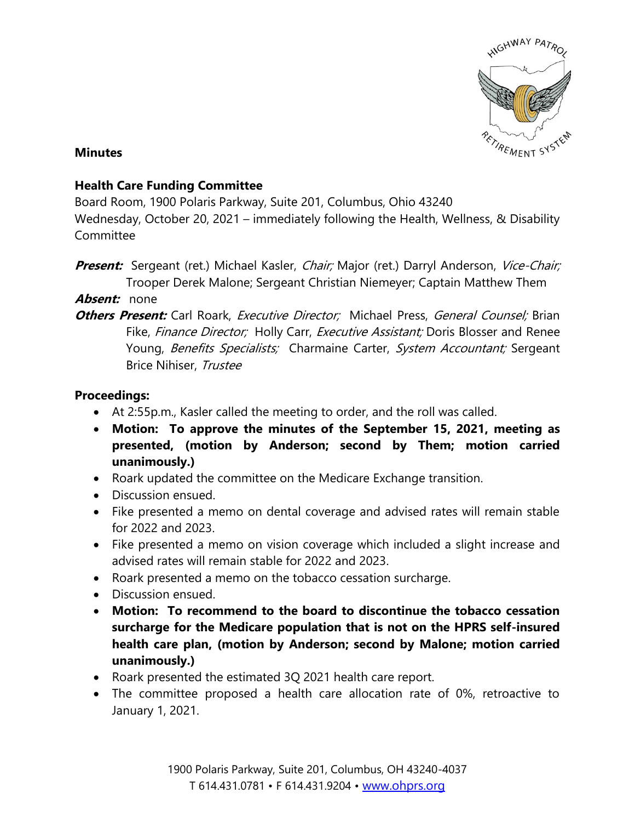

## **Minutes**

## **Health Care Funding Committee**

Board Room, 1900 Polaris Parkway, Suite 201, Columbus, Ohio 43240

Wednesday, October 20, 2021 – immediately following the Health, Wellness, & Disability Committee

**Present:** Sergeant (ret.) Michael Kasler, *Chair;* Major (ret.) Darryl Anderson, Vice-Chair; Trooper Derek Malone; Sergeant Christian Niemeyer; Captain Matthew Them

**Absent:** none

**Others Present:** Carl Roark, *Executive Director;* Michael Press, *General Counsel:* Brian Fike, Finance Director; Holly Carr, Executive Assistant; Doris Blosser and Renee Young, Benefits Specialists; Charmaine Carter, System Accountant; Sergeant Brice Nihiser, Trustee

## **Proceedings:**

- At 2:55p.m., Kasler called the meeting to order, and the roll was called.
- **Motion: To approve the minutes of the September 15, 2021, meeting as presented, (motion by Anderson; second by Them; motion carried unanimously.)**
- Roark updated the committee on the Medicare Exchange transition.
- Discussion ensued.
- Fike presented a memo on dental coverage and advised rates will remain stable for 2022 and 2023.
- Fike presented a memo on vision coverage which included a slight increase and advised rates will remain stable for 2022 and 2023.
- Roark presented a memo on the tobacco cessation surcharge.
- Discussion ensued.
- **Motion: To recommend to the board to discontinue the tobacco cessation surcharge for the Medicare population that is not on the HPRS self-insured health care plan, (motion by Anderson; second by Malone; motion carried unanimously.)**
- Roark presented the estimated 3Q 2021 health care report.
- The committee proposed a health care allocation rate of 0%, retroactive to January 1, 2021.